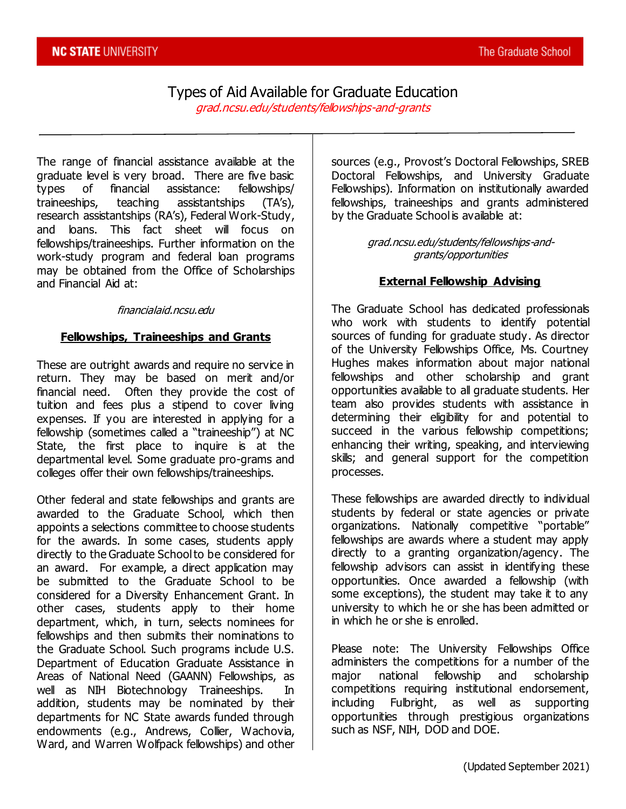# Types of Aid Available for Graduate Education

grad.ncsu.edu/students/fellowships-and-grants

The range of financial assistance available at the graduate level is very broad. There are five basic types of financial assistance: fellowships/ traineeships, teaching assistantships (TA's), research assistantships (RA's), Federal Work-Study, and loans. This fact sheet will focus on fellowships/traineeships. Further information on the work-study program and federal loan programs may be obtained from the Office of Scholarships and Financial Aid at:

#### financialaid.ncsu.edu

#### **Fellowships, Traineeships and Grants**

These are outright awards and require no service in return. They may be based on merit and/or financial need. Often they provide the cost of tuition and fees plus a stipend to cover living expenses. If you are interested in applying for a fellowship (sometimes called a "traineeship") at NC State, the first place to inquire is at the departmental level. Some graduate pro-grams and colleges offer their own fellowships/traineeships.

Other federal and state fellowships and grants are awarded to the Graduate School, which then appoints a selections committee to choose students for the awards. In some cases, students apply directly to the Graduate School to be considered for an award. For example, a direct application may be submitted to the Graduate School to be considered for a Diversity Enhancement Grant. In other cases, students apply to their home department, which, in turn, selects nominees for fellowships and then submits their nominations to the Graduate School. Such programs include U.S. Department of Education Graduate Assistance in Areas of National Need (GAANN) Fellowships, as well as NIH Biotechnology Traineeships. In addition, students may be nominated by their departments for NC State awards funded through endowments (e.g., Andrews, Collier, Wachovia, Ward, and Warren Wolfpack fellowships) and other

sources (e.g., Provost's Doctoral Fellowships, SREB Doctoral Fellowships, and University Graduate Fellowships). Information on institutionally awarded fellowships, traineeships and grants administered by the Graduate School is available at:

> grad.ncsu.edu/students/fellowships-andgrants/opportunities

#### **External Fellowship Advising**

The Graduate School has dedicated professionals who work with students to identify potential sources of funding for graduate study. As director of the University Fellowships Office, Ms. Courtney Hughes makes information about major national fellowships and other scholarship and grant opportunities available to all graduate students. Her team also provides students with assistance in determining their eligibility for and potential to succeed in the various fellowship competitions; enhancing their writing, speaking, and interviewing skills; and general support for the competition processes.

These fellowships are awarded directly to individual students by federal or state agencies or private organizations. Nationally competitive "portable" fellowships are awards where a student may apply directly to a granting organization/agency. The fellowship advisors can assist in identifying these opportunities. Once awarded a fellowship (with some exceptions), the student may take it to any university to which he or she has been admitted or in which he or she is enrolled.

Please note: The University Fellowships Office administers the competitions for a number of the major national fellowship and scholarship competitions requiring institutional endorsement, including Fulbright, as well as supporting opportunities through prestigious organizations such as NSF, NIH, DOD and DOE.